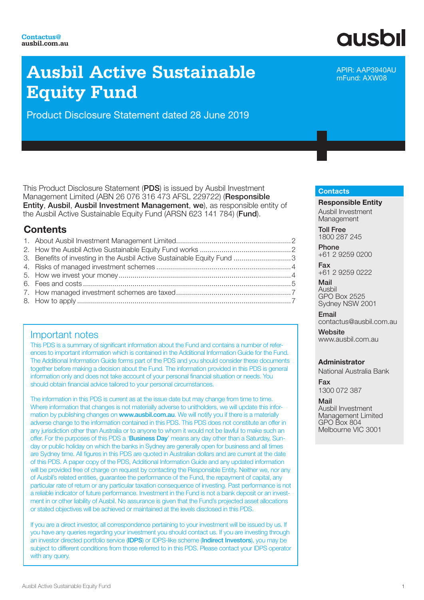## **Ausbil Active Sustainable Equity Fund**

Product Disclosure Statement dated 28 June 2019

This Product Disclosure Statement (PDS) is issued by Ausbil Investment Management Limited (ABN 26 076 316 473 AFSL 229722) (Responsible Entity, Ausbil, Ausbil Investment Management, we), as responsible entity of the Ausbil Active Sustainable Equity Fund (ARSN 623 141 784) (Fund).

#### **Contents**

| 3. Benefits of investing in the Ausbil Active Sustainable Equity Fund  3 |  |
|--------------------------------------------------------------------------|--|
|                                                                          |  |
|                                                                          |  |
|                                                                          |  |
|                                                                          |  |
|                                                                          |  |
|                                                                          |  |

#### Important notes

This PDS is a summary of significant information about the Fund and contains a number of references to important information which is contained in the Additional Information Guide for the Fund. The Additional Information Guide forms part of the PDS and you should consider these documents together before making a decision about the Fund. The information provided in this PDS is general information only and does not take account of your personal financial situation or needs. You should obtain financial advice tailored to your personal circumstances.

The information in this PDS is current as at the issue date but may change from time to time. Where information that changes is not materially adverse to unitholders, we will update this information by publishing changes on www.ausbil.com.au. We will notify you if there is a materially adverse change to the information contained in this PDS. This PDS does not constitute an offer in any jurisdiction other than Australia or to anyone to whom it would not be lawful to make such an offer. For the purposes of this PDS a 'Business Day' means any day other than a Saturday, Sunday or public holiday on which the banks in Sydney are generally open for business and all times are Sydney time. All figures in this PDS are quoted in Australian dollars and are current at the date of this PDS. A paper copy of the PDS, Additional Information Guide and any updated information will be provided free of charge on request by contacting the Responsible Entity. Neither we, nor any of Ausbil's related entities, guarantee the performance of the Fund, the repayment of capital, any particular rate of return or any particular taxation consequence of investing. Past performance is not a reliable indicator of future performance. Investment in the Fund is not a bank deposit or an investment in or other liability of Ausbil. No assurance is given that the Fund's projected asset allocations or stated objectives will be achieved or maintained at the levels disclosed in this PDS.

If you are a direct investor, all correspondence pertaining to your investment will be issued by us. If you have any queries regarding your investment you should contact us. If you are investing through an investor directed portfolio service (IDPS) or IDPS-like scheme (Indirect Investors), you may be subject to different conditions from those referred to in this PDS. Please contact your IDPS operator with any query.

# **ausbil**

APIR: AAP3940AU mFund: AXW08

#### **Contacts**

Responsible Entity Ausbil Investment Management

Toll Free 1800 287 245

Phone +61 2 9259 0200

Fax +61 2 9259 0222

Mail Ausbil GPO Box 2525 Sydney NSW 2001

Email contactus@ausbil.com.au

**Website** www.ausbil.com.au

#### Administrator

National Australia Bank

Fax 1300 072 387

Mail Ausbil Investment Management Limited GPO Box 804 Melbourne VIC 3001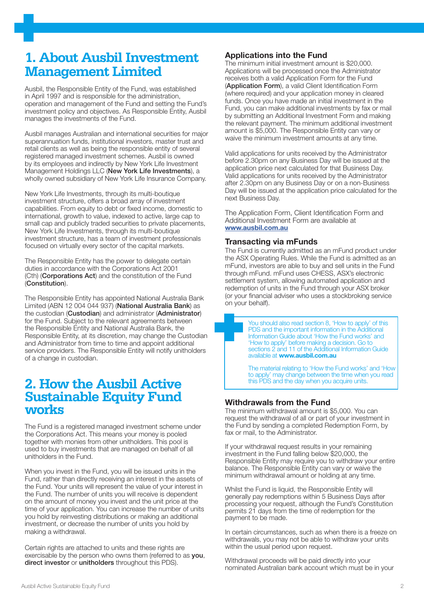## **1. About Ausbil Investment Management Limited**

Ausbil, the Responsible Entity of the Fund, was established in April 1997 and is responsible for the administration, operation and management of the Fund and setting the Fund's investment policy and objectives. As Responsible Entity, Ausbil manages the investments of the Fund.

Ausbil manages Australian and international securities for major superannuation funds, institutional investors, master trust and retail clients as well as being the responsible entity of several registered managed investment schemes. Ausbil is owned by its employees and indirectly by New York Life Investment Management Holdings LLC (New York Life Investments), a wholly owned subsidiary of New York Life Insurance Company.

New York Life Investments, through its multi-boutique investment structure, offers a broad array of investment capabilities. From equity to debt or fixed income, domestic to international, growth to value, indexed to active, large cap to small cap and publicly traded securities to private placements, New York Life Investments, through its multi-boutique investment structure, has a team of investment professionals focused on virtually every sector of the capital markets.

The Responsible Entity has the power to delegate certain duties in accordance with the Corporations Act 2001 (Cth) (Corporations Act) and the constitution of the Fund (Constitution).

The Responsible Entity has appointed National Australia Bank Limited (ABN 12 004 044 937) (National Australia Bank) as the custodian (Custodian) and administrator (Administrator) for the Fund. Subject to the relevant agreements between the Responsible Entity and National Australia Bank, the Responsible Entity, at its discretion, may change the Custodian and Administrator from time to time and appoint additional service providers. The Responsible Entity will notify unitholders of a change in custodian.

## **2. How the Ausbil Active Sustainable Equity Fund works**

The Fund is a registered managed investment scheme under the Corporations Act. This means your money is pooled together with monies from other unitholders. This pool is used to buy investments that are managed on behalf of all unitholders in the Fund.

When you invest in the Fund, you will be issued units in the Fund, rather than directly receiving an interest in the assets of the Fund. Your units will represent the value of your interest in the Fund. The number of units you will receive is dependent on the amount of money you invest and the unit price at the time of your application. You can increase the number of units you hold by reinvesting distributions or making an additional investment, or decrease the number of units you hold by making a withdrawal.

Certain rights are attached to units and these rights are exercisable by the person who owns them (referred to as you, direct investor or unitholders throughout this PDS).

#### Applications into the Fund

The minimum initial investment amount is \$20,000. Applications will be processed once the Administrator receives both a valid Application Form for the Fund (Application Form), a valid Client Identification Form (where required) and your application money in cleared funds. Once you have made an initial investment in the Fund, you can make additional investments by fax or mail by submitting an Additional Investment Form and making the relevant payment. The minimum additional investment amount is \$5,000. The Responsible Entity can vary or waive the minimum investment amounts at any time.

Valid applications for units received by the Administrator before 2.30pm on any Business Day will be issued at the application price next calculated for that Business Day. Valid applications for units received by the Administrator after 2.30pm on any Business Day or on a non-Business Day will be issued at the application price calculated for the next Business Day.

The Application Form, Client Identification Form and Additional Investment Form are available at www.ausbil.com.au

#### Transacting via mFunds

The Fund is currently admitted as an mFund product under the ASX Operating Rules. While the Fund is admitted as an mFund, investors are able to buy and sell units in the Fund through mFund. mFund uses CHESS, ASX's electronic settlement system, allowing automated application and redemption of units in the Fund through your ASX broker (or your financial adviser who uses a stockbroking service on your behalf).

> You should also read section 8, 'How to apply' of this PDS and the important information in the Additional Information Guide about 'How the Fund works' and 'How to apply' before making a decision. Go to sections 2 and 11 of the Additional Information Guide available at www.ausbil.com.au

The material relating to 'How the Fund works' and 'How to apply' may change between the time when you read this PDS and the day when you acquire units.

#### Withdrawals from the Fund

The minimum withdrawal amount is \$5,000. You can request the withdrawal of all or part of your investment in the Fund by sending a completed Redemption Form, by fax or mail, to the Administrator.

If your withdrawal request results in your remaining investment in the Fund falling below \$20,000, the Responsible Entity may require you to withdraw your entire balance. The Responsible Entity can vary or waive the minimum withdrawal amount or holding at any time.

Whilst the Fund is liquid, the Responsible Entity will generally pay redemptions within 5 Business Days after processing your request, although the Fund's Constitution permits 21 days from the time of redemption for the payment to be made.

In certain circumstances, such as when there is a freeze on withdrawals, you may not be able to withdraw your units within the usual period upon request.

Withdrawal proceeds will be paid directly into your nominated Australian bank account which must be in your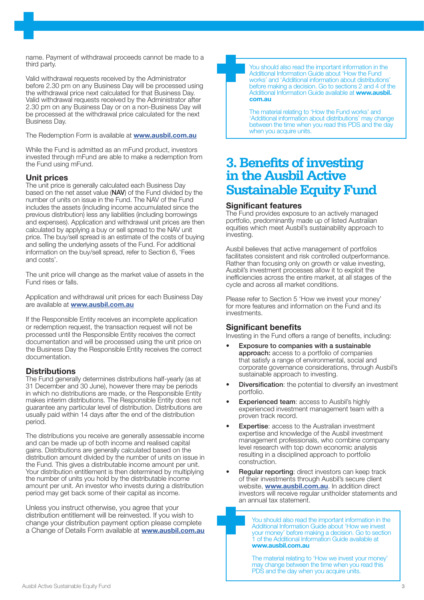name. Payment of withdrawal proceeds cannot be made to a third party.

Valid withdrawal requests received by the Administrator before 2.30 pm on any Business Day will be processed using the withdrawal price next calculated for that Business Day. Valid withdrawal requests received by the Administrator after 2.30 pm on any Business Day or on a non-Business Day will be processed at the withdrawal price calculated for the next Business Day.

The Redemption Form is available at **www.ausbil.com.au** 

While the Fund is admitted as an mFund product, investors invested through mFund are able to make a redemption from the Fund using mFund.

#### Unit prices

The unit price is generally calculated each Business Day based on the net asset value (NAV) of the Fund divided by the number of units on issue in the Fund. The NAV of the Fund includes the assets (including income accumulated since the previous distribution) less any liabilities (including borrowings and expenses). Application and withdrawal unit prices are then calculated by applying a buy or sell spread to the NAV unit price. The buy/sell spread is an estimate of the costs of buying and selling the underlying assets of the Fund. For additional information on the buy/sell spread, refer to Section 6, 'Fees and costs'.

The unit price will change as the market value of assets in the Fund rises or falls.

Application and withdrawal unit prices for each Business Day are available at www.ausbil.com.au

If the Responsible Entity receives an incomplete application or redemption request, the transaction request will not be processed until the Responsible Entity receives the correct documentation and will be processed using the unit price on the Business Day the Responsible Entity receives the correct documentation.

#### **Distributions**

The Fund generally determines distributions half-yearly (as at 31 December and 30 June), however there may be periods in which no distributions are made, or the Responsible Entity makes interim distributions. The Responsible Entity does not guarantee any particular level of distribution. Distributions are usually paid within 14 days after the end of the distribution period.

The distributions you receive are generally assessable income and can be made up of both income and realised capital gains. Distributions are generally calculated based on the distribution amount divided by the number of units on issue in the Fund. This gives a distributable income amount per unit. Your distribution entitlement is then determined by multiplying the number of units you hold by the distributable income amount per unit. An investor who invests during a distribution period may get back some of their capital as income.

Unless you instruct otherwise, you agree that your distribution entitlement will be reinvested. If you wish to change your distribution payment option please complete a Change of Details Form available at **www.ausbil.com.au** 



You should also read the important information in the Additional Information Guide about 'How the Fund works' and 'Additional information about distributions' before making a decision. Go to sections 2 and 4 of the Additional Information Guide available at www.ausbil. com.au

The material relating to 'How the Fund works' and 'Additional information about distributions' may change between the time when you read this PDS and the day when you acquire units.

## **3. Benefits of investing in the Ausbil Active Sustainable Equity Fund**

#### Significant features

The Fund provides exposure to an actively managed portfolio, predominantly made up of listed Australian equities which meet Ausbil's sustainability approach to investing.

Ausbil believes that active management of portfolios facilitates consistent and risk controlled outperformance. Rather than focusing only on growth or value investing, Ausbil's investment processes allow it to exploit the inefficiencies across the entire market, at all stages of the cycle and across all market conditions.

Please refer to Section 5 'How we invest your money' for more features and information on the Fund and its investments.

#### Significant benefits

Investing in the Fund offers a range of benefits, including:

- Exposure to companies with a sustainable approach: access to a portfolio of companies that satisfy a range of environmental, social and corporate governance considerations, through Ausbil's sustainable approach to investing.
- **Diversification:** the potential to diversify an investment portfolio.
- **Experienced team: access to Ausbil's highly** experienced investment management team with a proven track record.
- **Expertise:** access to the Australian investment expertise and knowledge of the Ausbil investment management professionals, who combine company level research with top down economic analysis resulting in a disciplined approach to portfolio construction.
- Regular reporting: direct investors can keep track of their investments through Ausbil's secure client website, **www.ausbil.com.au**. In addition direct investors will receive regular unitholder statements and an annual tax statement.

You should also read the important information in the Additional Information Guide about 'How we invest your money' before making a decision. Go to section 1 of the Additional Information Guide available at www.ausbil.com.au

The material relating to 'How we invest your money' may change between the time when you read this PDS and the day when you acquire units.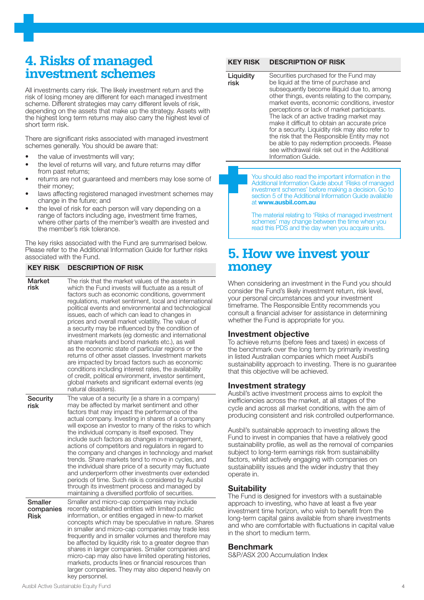## **4. Risks of managed investment schemes**

All investments carry risk. The likely investment return and the risk of losing money are different for each managed investment scheme. Different strategies may carry different levels of risk, depending on the assets that make up the strategy. Assets with the highest long term returns may also carry the highest level of short term risk.

There are significant risks associated with managed investment schemes generally. You should be aware that:

the value of investments will vary;

KEY RISK DESCRIPTION OF RISK

- the level of returns will vary, and future returns may differ from past returns;
- returns are not guaranteed and members may lose some of their money;
- laws affecting registered managed investment schemes may change in the future; and
- the level of risk for each person will vary depending on a range of factors including age, investment time frames where other parts of the member's wealth are invested and the member's risk tolerance.

The key risks associated with the Fund are summarised below. Please refer to the Additional Information Guide for further risks associated with the Fund.

#### Market risk The risk that the market values of the assets in which the Fund invests will fluctuate as a result of factors such as economic conditions, government regulations, market sentiment, local and international political events and environmental and technological issues, each of which can lead to changes in prices and overall market volatility. The value of a security may be influenced by the condition of investment markets (eg domestic and international share markets and bond markets etc.), as well as the economic state of particular regions or the returns of other asset classes. Investment markets are impacted by broad factors such as economic conditions including interest rates, the availability of credit, political environment, investor sentiment, global markets and significant external events (eg natural disasters). **Security** risk The value of a security (ie a share in a company) may be affected by market sentiment and other factors that may impact the performance of the actual company. Investing in shares of a company will expose an investor to many of the risks to which the individual company is itself exposed. They include such factors as changes in management, actions of competitors and regulators in regard to the company and changes in technology and market trends. Share markets tend to move in cycles, and the individual share price of a security may fluctuate and underperform other investments over extended periods of time. Such risk is considered by Ausbil through its investment process and managed by maintaining a diversified portfolio of securities. **Smaller** companies Risk Smaller and micro-cap companies may include recently established entities with limited public information, or entities engaged in new-to market concepts which may be speculative in nature. Shares in smaller and micro-cap companies may trade less frequently and in smaller volumes and therefore may be affected by liquidity risk to a greater degree than shares in larger companies. Smaller companies and micro-cap may also have limited operating histories, markets, products lines or financial resources than larger companies. They may also depend heavily on key personnel.

#### Ausbil Active Sustainable Equity Fund 4

#### KEY RISK DESCRIPTION OF RISK

**Liquidity** risk Securities purchased for the Fund may be liquid at the time of purchase and subsequently become illiquid due to, among other things, events relating to the company, market events, economic conditions, investor perceptions or lack of market participants. The lack of an active trading market may make it difficult to obtain an accurate price for a security. Liquidity risk may also refer to the risk that the Responsible Entity may not be able to pay redemption proceeds. Please see withdrawal risk set out in the Additional Information Guide.

> You should also read the important information in the Additional Information Guide about 'Risks of managed investment schemes' before making a decision. Go to section 5 of the Additional Information Guide available at www.ausbil.com.au

The material relating to 'Risks of managed investment schemes' may change between the time when you read this PDS and the day when you acquire units.

## **5. How we invest your money**

When considering an investment in the Fund you should consider the Fund's likely investment return, risk level, your personal circumstances and your investment timeframe. The Responsible Entity recommends you consult a financial adviser for assistance in determining whether the Fund is appropriate for you.

#### Investment objective

To achieve returns (before fees and taxes) in excess of the benchmark over the long term by primarily investing in listed Australian companies which meet Ausbil's sustainability approach to investing. There is no guarantee that this objective will be achieved.

#### Investment strategy

Ausbil's active investment process aims to exploit the inefficiencies across the market, at all stages of the cycle and across all market conditions, with the aim of producing consistent and risk controlled outperformance.

Ausbil's sustainable approach to investing allows the Fund to invest in companies that have a relatively good sustainability profile, as well as the removal of companies subject to long-term earnings risk from sustainability factors, whilst actively engaging with companies on sustainability issues and the wider industry that they operate in.

#### **Suitability**

The Fund is designed for investors with a sustainable approach to investing, who have at least a five year investment time horizon, who wish to benefit from the long-term capital gains available from share investments and who are comfortable with fluctuations in capital value in the short to medium term.

#### **Benchmark**

S&P/ASX 200 Accumulation Index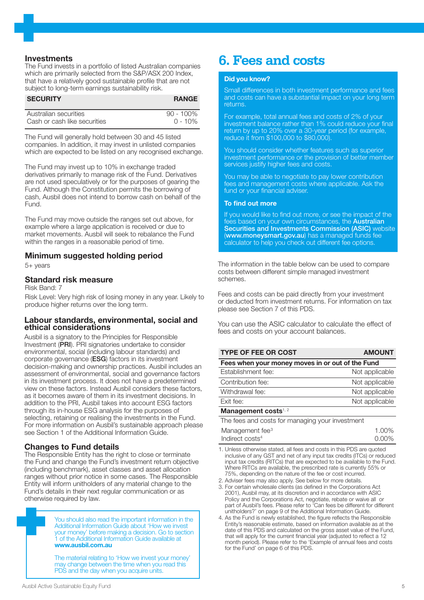#### **Investments**

The Fund invests in a portfolio of listed Australian companies which are primarily selected from the S&P/ASX 200 Index, that have a relatively good sustainable profile that are not subject to long-term earnings sustainability risk.

| <b>SECURITY</b>              | <b>RANGE</b> |
|------------------------------|--------------|
| Australian securities        | $90 - 100\%$ |
| Cash or cash like securities | $0 - 10\%$   |

The Fund will generally hold between 30 and 45 listed companies. In addition, it may invest in unlisted companies which are expected to be listed on any recognised exchange.

The Fund may invest up to 10% in exchange traded derivatives primarily to manage risk of the Fund. Derivatives are not used speculatively or for the purposes of gearing the Fund. Although the Constitution permits the borrowing of cash, Ausbil does not intend to borrow cash on behalf of the Fund.

The Fund may move outside the ranges set out above, for example where a large application is received or due to market movements. Ausbil will seek to rebalance the Fund within the ranges in a reasonable period of time.

#### Minimum suggested holding period

5+ years

#### Standard risk measure

Risk Band: 7

Risk Level: Very high risk of losing money in any year. Likely to produce higher returns over the long term.

#### Labour standards, environmental, social and ethical considerations

Ausbil is a signatory to the Principles for Responsible Investment (PRI). PRI signatories undertake to consider environmental, social (including labour standards) and corporate governance (ESG) factors in its investment decision-making and ownership practices. Ausbil includes an assessment of environmental, social and governance factors in its investment process. It does not have a predetermined view on these factors. Instead Ausbil considers these factors, as it becomes aware of them in its investment decisions. In addition to the PRI, Ausbil takes into account ESG factors through its in-house ESG analysis for the purposes of selecting, retaining or realising the investments in the Fund. For more information on Ausbil's sustainable approach please see Section 1 of the Additional Information Guide.

#### Changes to Fund details

The Responsible Entity has the right to close or terminate the Fund and change the Fund's investment return objective (including benchmark), asset classes and asset allocation ranges without prior notice in some cases. The Responsible Entity will inform unitholders of any material change to the Fund's details in their next regular communication or as otherwise required by law.

> You should also read the important information in the Additional Information Guide about 'How we invest your money' before making a decision. Go to section 1 of the Additional Information Guide available at www.ausbil.com.au

The material relating to 'How we invest your money' may change between the time when you read this PDS and the day when you acquire units.

#### Did you know?

Small differences in both investment performance and fees and costs can have a substantial impact on your long term returns.

For example, total annual fees and costs of 2% of your investment balance rather than 1% could reduce your final return by up to 20% over a 30-year period (for example, reduce it from \$100,000 to \$80,000).

You should consider whether features such as superior investment performance or the provision of better member services justify higher fees and costs.

You may be able to negotiate to pay lower contribution fees and management costs where applicable. Ask the fund or your financial adviser.

#### To find out more

If you would like to find out more, or see the impact of the fees based on your own circumstances, the Australian Securities and Investments Commission (ASIC) website (www.moneysmart.gov.au) has a managed funds fee calculator to help you check out different fee options.

The information in the table below can be used to compare costs between different simple managed investment schemes.

Fees and costs can be paid directly from your investment or deducted from investment returns. For information on tax please see Section 7 of this PDS.

You can use the ASIC calculator to calculate the effect of fees and costs on your account balances.

| <b>TYPE OF FEE OR COST</b>                       | <b>AMOUNT</b>  |  |  |
|--------------------------------------------------|----------------|--|--|
| Fees when your money moves in or out of the Fund |                |  |  |
| Establishment fee:                               | Not applicable |  |  |
| Contribution fee:                                | Not applicable |  |  |
| Withdrawal fee:                                  | Not applicable |  |  |
| Exit fee:                                        | Not applicable |  |  |
| Management costs $1, 2$                          |                |  |  |

#### Management costs $1, 2$

| The fees and costs for managing your investment |       |
|-------------------------------------------------|-------|
| Management fee <sup>3</sup>                     | 1.00% |
| Indirect costs <sup>4</sup>                     | 0.00% |

1. Unless otherwise stated, all fees and costs in this PDS are quoted inclusive of any GST and net of any input tax credits (ITCs) or reduced input tax credits (RITCs) that are expected to be available to the Fund. Where RITCs are available, the prescribed rate is currently 55% or 75%, depending on the nature of the fee or cost incurred.

2. Adviser fees may also apply. See below for more details.

3. For certain wholesale clients (as defined in the Corporations Act 2001), Ausbil may, at its discretion and in accordance with ASIC Policy and the Corporations Act, negotiate, rebate or waive all or part of Ausbil's fees. Please refer to 'Can fees be different for different unitholders?' on page 9 of the Additional Information Guide.

4. As the Fund is newly established, the figure reflects the Responsible Entity's reasonable estimate, based on information available as at the date of this PDS and calculated on the gross asset value of the Fund, that will apply for the current financial year (adjusted to reflect a 12 month period). Please refer to the 'Example of annual fees and costs for the Fund' on page 6 of this PDS.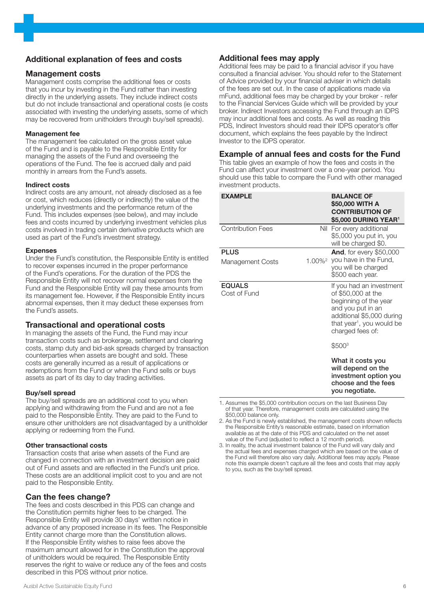#### Additional explanation of fees and costs

#### Management costs

Management costs comprise the additional fees or costs that you incur by investing in the Fund rather than investing directly in the underlying assets. They include indirect costs but do not include transactional and operational costs (ie costs associated with investing the underlying assets, some of which may be recovered from unitholders through buy/sell spreads).

#### Management fee

The management fee calculated on the gross asset value of the Fund and is payable to the Responsible Entity for managing the assets of the Fund and overseeing the operations of the Fund. The fee is accrued daily and paid monthly in arrears from the Fund's assets.

#### Indirect costs

Indirect costs are any amount, not already disclosed as a fee or cost, which reduces (directly or indirectly) the value of the underlying investments and the performance return of the Fund. This includes expenses (see below), and may include fees and costs incurred by underlying investment vehicles plus costs involved in trading certain derivative products which are used as part of the Fund's investment strategy.

#### Expenses

Under the Fund's constitution, the Responsible Entity is entitled to recover expenses incurred in the proper performance of the Fund's operations. For the duration of the PDS the Responsible Entity will not recover normal expenses from the Fund and the Responsible Entity will pay these amounts from its management fee. However, if the Responsible Entity incurs abnormal expenses, then it may deduct these expenses from the Fund's assets.

#### Transactional and operational costs

In managing the assets of the Fund, the Fund may incur transaction costs such as brokerage, settlement and clearing costs, stamp duty and bid-ask spreads charged by transaction counterparties when assets are bought and sold. These costs are generally incurred as a result of applications or redemptions from the Fund or when the Fund sells or buys assets as part of its day to day trading activities.

#### Buy/sell spread

The buy/sell spreads are an additional cost to you when applying and withdrawing from the Fund and are not a fee paid to the Responsible Entity. They are paid to the Fund to ensure other unitholders are not disadvantaged by a unitholder applying or redeeming from the Fund.

#### Other transactional costs

Transaction costs that arise when assets of the Fund are changed in connection with an investment decision are paid out of Fund assets and are reflected in the Fund's unit price. These costs are an additional implicit cost to you and are not paid to the Responsible Entity.

#### Can the fees change?

The fees and costs described in this PDS can change and the Constitution permits higher fees to be charged. The Responsible Entity will provide 30 days' written notice in advance of any proposed increase in its fees. The Responsible Entity cannot charge more than the Constitution allows. If the Responsible Entity wishes to raise fees above the maximum amount allowed for in the Constitution the approval of unitholders would be required. The Responsible Entity reserves the right to waive or reduce any of the fees and costs described in this PDS without prior notice.

#### Additional fees may apply

Additional fees may be paid to a financial advisor if you have consulted a financial adviser. You should refer to the Statement of Advice provided by your financial adviser in which details of the fees are set out. In the case of applications made via mFund, additional fees may be charged by your broker - refer to the Financial Services Guide which will be provided by your broker. Indirect Investors accessing the Fund through an IDPS may incur additional fees and costs. As well as reading this PDS, Indirect Investors should read their IDPS operator's offer document, which explains the fees payable by the Indirect Investor to the IDPS operator.

#### Example of annual fees and costs for the Fund

This table gives an example of how the fees and costs in the Fund can affect your investment over a one-year period. You should use this table to compare the Fund with other managed investment products.

| <b>EXAMPLE</b>                  | <b>BALANCE OF</b><br>\$50,000 WITH A<br><b>CONTRIBUTION OF</b><br>\$5,000 DURING YEAR <sup>1</sup>                                                                                     |
|---------------------------------|----------------------------------------------------------------------------------------------------------------------------------------------------------------------------------------|
| <b>Contribution Fees</b>        | Nil For every additional<br>\$5,000 you put in, you<br>will be charged \$0.                                                                                                            |
| <b>PLUS</b><br>Management Costs | <b>And, for every \$50,000</b><br>1.00% <sup>2</sup> you have in the Fund,<br>you will be charged<br>\$500 each year.                                                                  |
| <b>EQUALS</b><br>Cost of Fund   | If you had an investment<br>of \$50,000 at the<br>beginning of the year<br>and you put in an<br>additional \$5,000 during<br>that year <sup>1</sup> , you would be<br>charged fees of: |
|                                 | \$500 <sup>3</sup>                                                                                                                                                                     |
|                                 | What it costs you<br>will depend on the<br>investment option you<br>choose and the fees<br>you negotiate.                                                                              |

1. Assumes the \$5,000 contribution occurs on the last Business Day of that year. Therefore, management costs are calculated using the \$50,000 balance only.

- 2. As the Fund is newly established, the management costs shown reflects the Responsible Entity's reasonable estimate, based on information available as at the date of this PDS and calculated on the net asset value of the Fund (adjusted to reflect a 12 month period).
- 3. In reality, the actual investment balance of the Fund will vary daily and the actual fees and expenses charged which are based on the value of the Fund will therefore also vary daily. Additional fees may apply. Please note this example doesn't capture all the fees and costs that may apply to you, such as the buy/sell spread.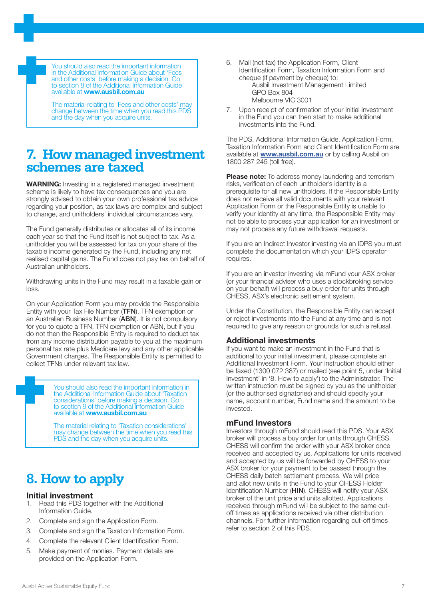You should also read the important information in the Additional Information Guide about 'Fees and other costs' before making a decision. Go to section 8 of the Additional Information Guide available at www.ausbil.com.au

The material relating to 'Fees and other costs' may change between the time when you read this PDS and the day when you acquire units.

### **7. How managed investment schemes are taxed**

WARNING: Investing in a registered managed investment scheme is likely to have tax consequences and you are strongly advised to obtain your own professional tax advice regarding your position, as tax laws are complex and subject to change, and unitholders' individual circumstances vary.

The Fund generally distributes or allocates all of its income each year so that the Fund itself is not subject to tax. As a unitholder you will be assessed for tax on your share of the taxable income generated by the Fund, including any net realised capital gains. The Fund does not pay tax on behalf of Australian unitholders.

Withdrawing units in the Fund may result in a taxable gain or loss.

On your Application Form you may provide the Responsible Entity with your Tax File Number (TFN), TFN exemption or an Australian Business Number (ABN). It is not compulsory for you to quote a TFN, TFN exemption or ABN, but if you do not then the Responsible Entity is required to deduct tax from any income distribution payable to you at the maximum personal tax rate plus Medicare levy and any other applicable Government charges. The Responsible Entity is permitted to collect TFNs under relevant tax law.

> You should also read the important information in the Additional Information Guide about 'Taxation considerations' before making a decision. Go to section 9 of the Additional Information Guide available at www.ausbil.com.au

The material relating to 'Taxation considerations' may change between the time when you read this PDS and the day when you acquire units.

## **8. How to apply**

#### Initial investment

- 1. Read this PDS together with the Additional Information Guide.
- 2. Complete and sign the Application Form.
- 3. Complete and sign the Taxation Information Form.
- 4. Complete the relevant Client Identification Form.
- 5. Make payment of monies. Payment details are provided on the Application Form.

6. Mail (not fax) the Application Form, Client Identification Form, Taxation Information Form and cheque (if payment by cheque) to:

Ausbil Investment Management Limited GPO Box 804 Melbourne VIC 3001

7. Upon receipt of confirmation of your initial investment in the Fund you can then start to make additional investments into the Fund.

The PDS, Additional Information Guide, Application Form, Taxation Information Form and Client Identification Form are available at **www.ausbil.com.au** or by calling Ausbil on 1800 287 245 (toll free).

Please note: To address money laundering and terrorism risks, verification of each unitholder's identity is a prerequisite for all new unitholders. If the Responsible Entity does not receive all valid documents with your relevant Application Form or the Responsible Entity is unable to verify your identity at any time, the Responsible Entity may not be able to process your application for an investment or may not process any future withdrawal requests.

If you are an Indirect Investor investing via an IDPS you must complete the documentation which your IDPS operator requires.

If you are an investor investing via mFund your ASX broker (or your financial adviser who uses a stockbroking service on your behalf) will process a buy order for units through CHESS, ASX's electronic settlement system.

Under the Constitution, the Responsible Entity can accept or reject investments into the Fund at any time and is not required to give any reason or grounds for such a refusal.

#### Additional investments

If you want to make an investment in the Fund that is additional to your initial investment, please complete an Additional Investment Form. Your instruction should either be faxed (1300 072 387) or mailed (see point 5, under 'Initial Investment' in '8. How to apply') to the Administrator. The written instruction must be signed by you as the unitholder (or the authorised signatories) and should specify your name, account number, Fund name and the amount to be invested.

#### mFund Investors

Investors through mFund should read this PDS. Your ASX broker will process a buy order for units through CHESS. CHESS will confirm the order with your ASX broker once received and accepted by us. Applications for units received and accepted by us will be forwarded by CHESS to your ASX broker for your payment to be passed through the CHESS daily batch settlement process. We will price and allot new units in the Fund to your CHESS Holder Identification Number (HIN). CHESS will notify your ASX broker of the unit price and units allotted. Applications received through mFund will be subject to the same cutoff times as applications received via other distribution channels. For further information regarding cut-off times refer to section 2 of this PDS.